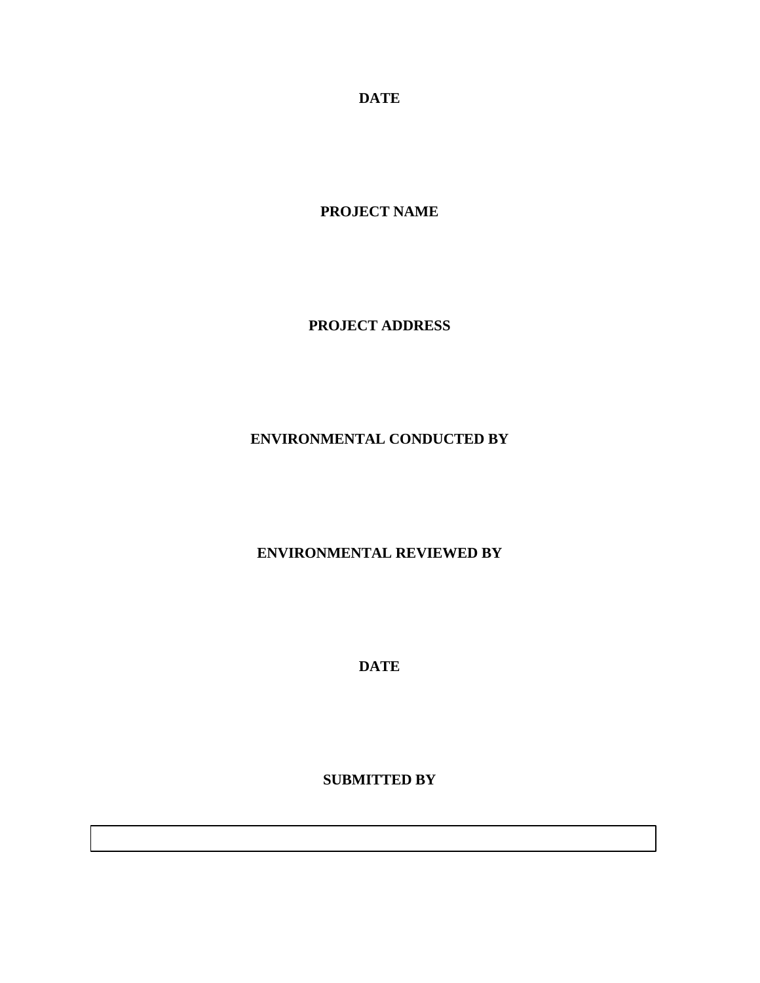**DATE**

**PROJECT NAME**

**PROJECT ADDRESS**

# **ENVIRONMENTAL CONDUCTED BY**

**ENVIRONMENTAL REVIEWED BY**

**DATE**

**SUBMITTED BY**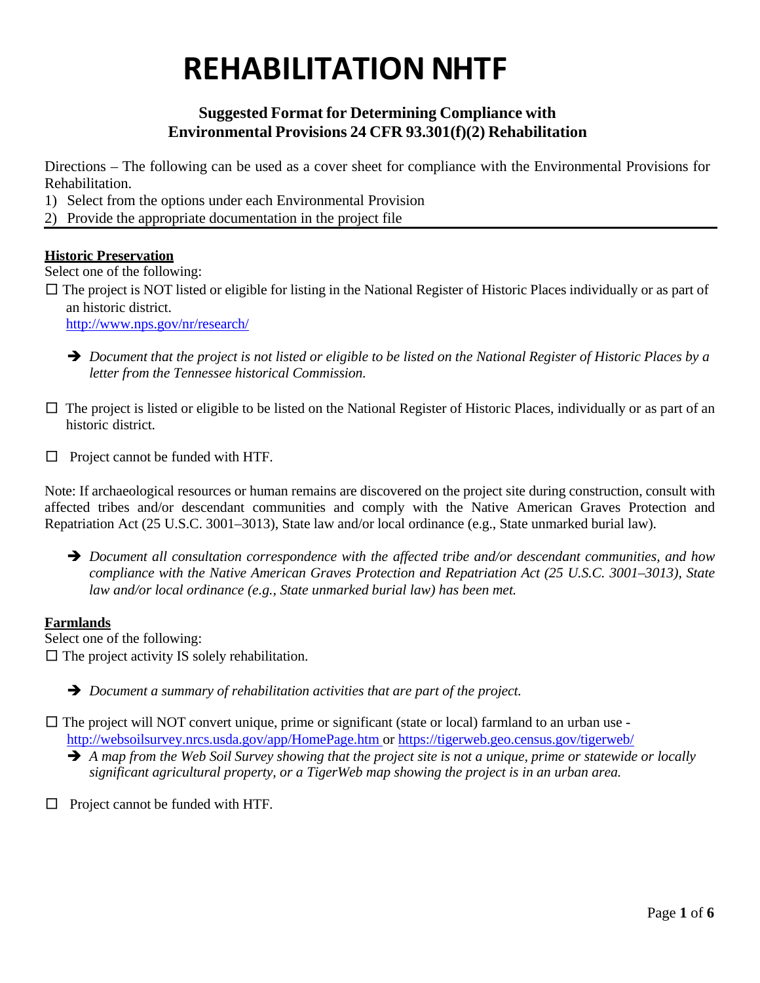# **Suggested Format for Determining Compliance with Environmental Provisions 24 CFR 93.301(f)(2) Rehabilitation**

Directions – The following can be used as a cover sheet for compliance with the Environmental Provisions for Rehabilitation.

- 1) Select from the options under each Environmental Provision
- 2) Provide the appropriate documentation in the project file

## **Historic Preservation**

Select one of the following:

 $\square$  The project is NOT listed or eligible for listing in the National Register of Historic Places individually or as part of an historic district.

<http://www.nps.gov/nr/research/>

- $\rightarrow$  Document that the project is not listed or eligible to be listed on the National Register of Historic Places by a *letter from the Tennessee historical Commission.*
- $\square$  The project is listed or eligible to be listed on the National Register of Historic Places, individually or as part of an historic district.
- □ Project cannot be funded with HTF.

Note: If archaeological resources or human remains are discovered on the project site during construction, consult with affected tribes and/or descendant communities and comply with the Native American Graves Protection and Repatriation Act (25 U.S.C. 3001–3013), State law and/or local ordinance (e.g., State unmarked burial law).

 *Document all consultation correspondence with the affected tribe and/or descendant communities, and how compliance with the Native American Graves Protection and Repatriation Act (25 U.S.C. 3001–3013), State law and/or local ordinance (e.g., State unmarked burial law) has been met.*

### **Farmlands**

Select one of the following:

 $\square$  The project activity IS solely rehabilitation.

- *Document a summary of rehabilitation activities that are part of the project.*
- $\square$  The project will NOT convert unique, prime or significant (state or local) farmland to an urban use <http://websoilsurvey.nrcs.usda.gov/app/HomePage.htm> or<https://tigerweb.geo.census.gov/tigerweb/>  $\rightarrow$  A map from the Web Soil Survey showing that the project site is not a unique, prime or statewide or locally
	- *significant agricultural property, or a TigerWeb map showing the project is in an urban area.*
- □ Project cannot be funded with HTF.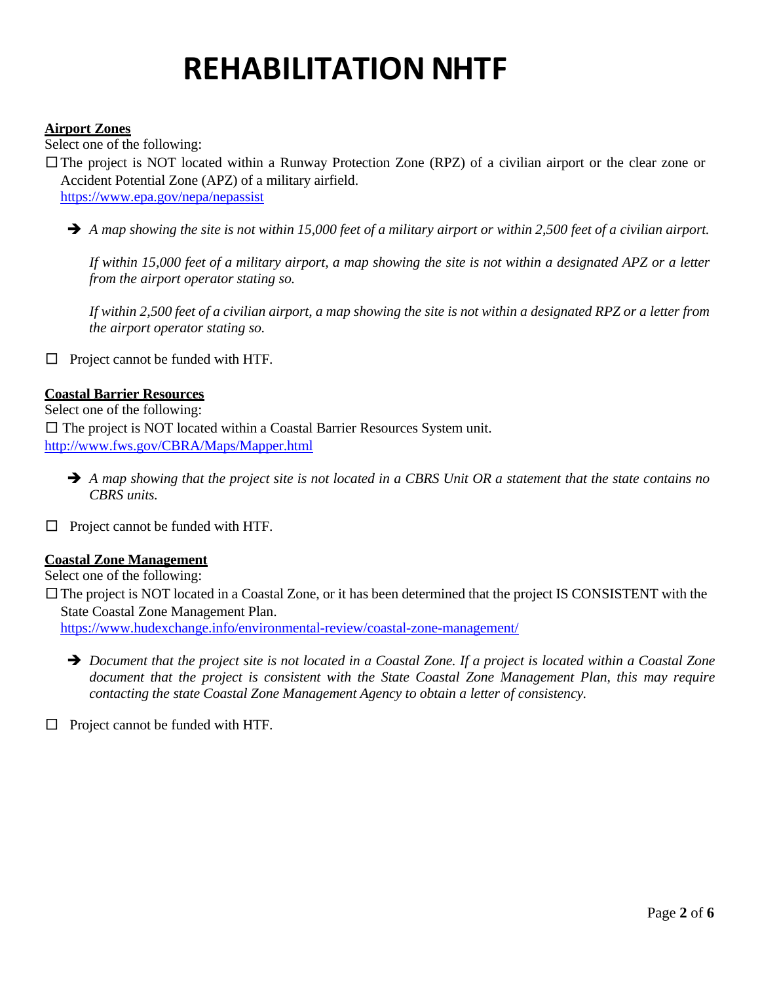### **Airport Zones**

Select one of the following:

- □The project is NOT located within a Runway Protection Zone (RPZ) of a civilian airport or the clear zone or Accident Potential Zone (APZ) of a military airfield. <https://www.epa.gov/nepa/nepassist>
	- $\rightarrow$  A map showing the site is not within 15,000 feet of a military airport or within 2,500 feet of a civilian airport.

If within 15,000 feet of a military airport, a map showing the site is not within a designated APZ or a letter *from the airport operator stating so.*

If within 2,500 feet of a civilian airport, a map showing the site is not within a designated RPZ or a letter from *the airport operator stating so.*

□ Project cannot be funded with HTF.

#### **Coastal Barrier Resources**

Select one of the following:  $\square$  The project is NOT located within a Coastal Barrier Resources System unit. <http://www.fws.gov/CBRA/Maps/Mapper.html>

- $\rightarrow$  A map showing that the project site is not located in a CBRS Unit OR a statement that the state contains no *CBRS units.*
- $\Box$  Project cannot be funded with HTF.

### **Coastal Zone Management**

Select one of the following:

 $\square$  The project is NOT located in a Coastal Zone, or it has been determined that the project IS CONSISTENT with the State Coastal Zone Management Plan.

<https://www.hudexchange.info/environmental-review/coastal-zone-management/>

 $\rightarrow$  Document that the project site is not located in a Coastal Zone. If a project is located within a Coastal Zone *document that the project is consistent with the State Coastal Zone Management Plan, this may require contacting the state Coastal Zone Management Agency to obtain a letter of consistency.*

 $\Box$  Project cannot be funded with HTF.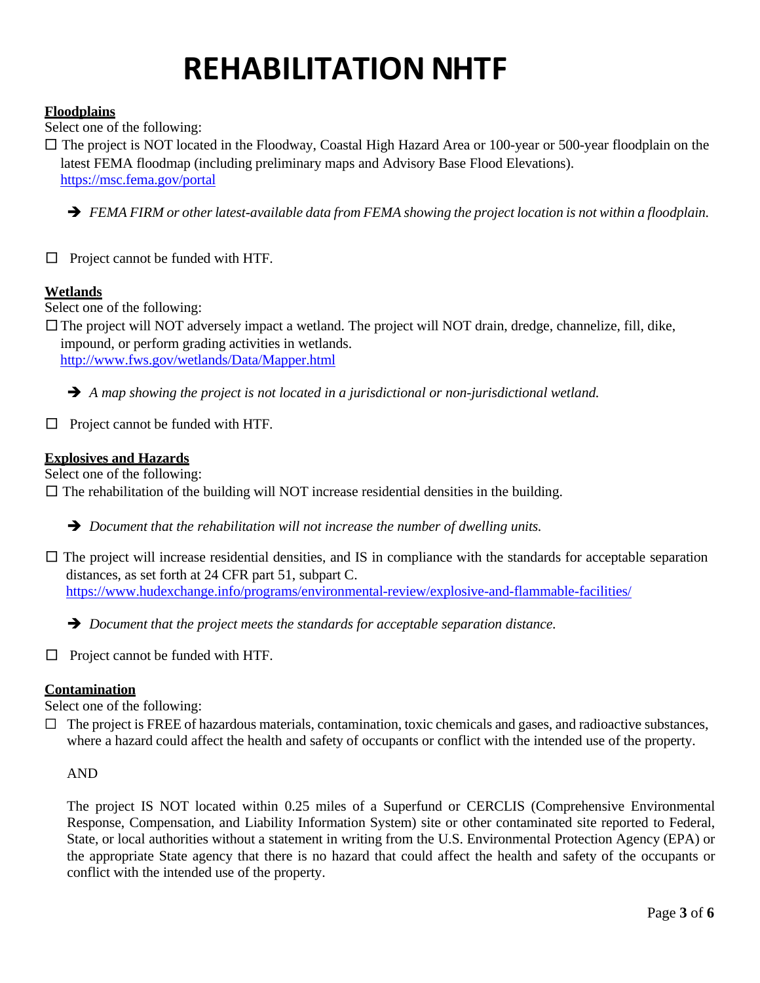## **Floodplains**

Select one of the following:

□ The project is NOT located in the Floodway, Coastal High Hazard Area or 100-year or 500-year floodplain on the latest FEMA floodmap (including preliminary maps and Advisory Base Flood Elevations). <https://msc.fema.gov/portal>

- *FEMA FIRM or otherlatest-available data from FEMA showing the project location is not within a floodplain.*
- $\Box$  Project cannot be funded with HTF.

## **Wetlands**

Select one of the following:

 $\square$  The project will NOT adversely impact a wetland. The project will NOT drain, dredge, channelize, fill, dike, impound, or perform grading activities in wetlands.

<http://www.fws.gov/wetlands/Data/Mapper.html>

*A map showing the project is not located in a jurisdictional or non-jurisdictional wetland.*

 $\Box$  Project cannot be funded with HTF.

## **Explosives and Hazards**

Select one of the following:

 $\square$  The rehabilitation of the building will NOT increase residential densities in the building.

*Document that the rehabilitation will not increase the number of dwelling units.*

- $\square$  The project will increase residential densities, and IS in compliance with the standards for acceptable separation distances, as set forth at 24 CFR part 51, subpart C. <https://www.hudexchange.info/programs/environmental-review/explosive-and-flammable-facilities/>
	- *Document that the project meets the standards for acceptable separation distance.*
- $\Box$  Project cannot be funded with HTF.

# **Contamination**

Select one of the following:

 $\Box$  The project is FREE of hazardous materials, contamination, toxic chemicals and gases, and radioactive substances, where a hazard could affect the health and safety of occupants or conflict with the intended use of the property.

### AND

The project IS NOT located within 0.25 miles of a Superfund or CERCLIS (Comprehensive Environmental Response, Compensation, and Liability Information System) site or other contaminated site reported to Federal, State, or local authorities without a statement in writing from the U.S. Environmental Protection Agency (EPA) or the appropriate State agency that there is no hazard that could affect the health and safety of the occupants or conflict with the intended use of the property.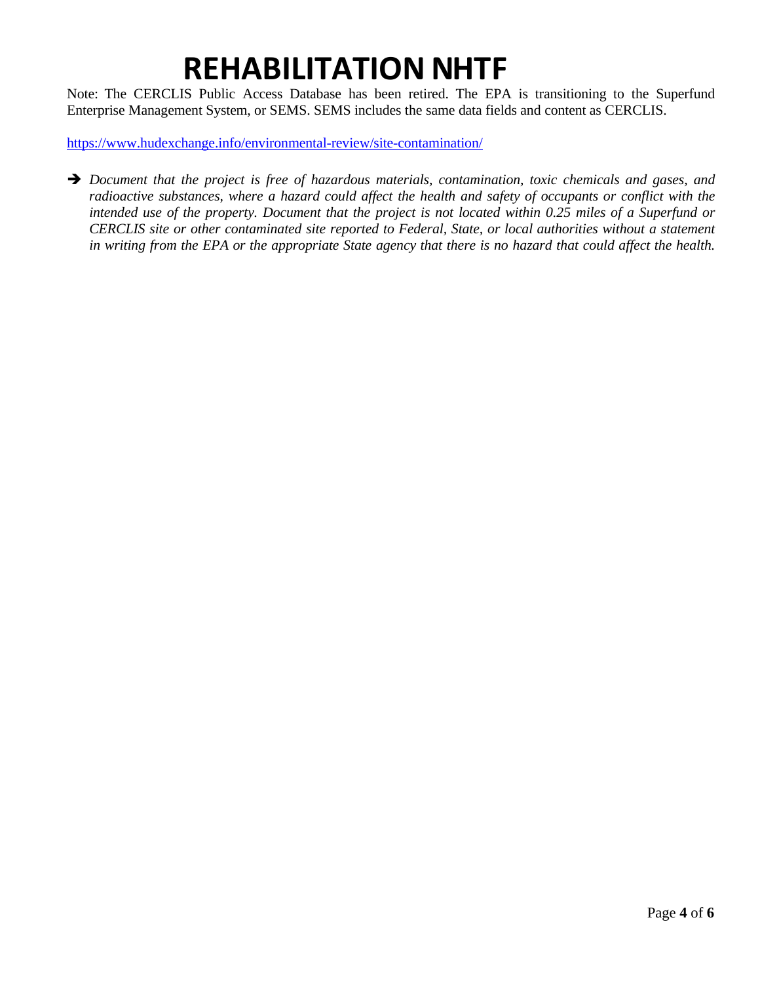Note: The CERCLIS Public Access Database has been retired. The EPA is transitioning to the Superfund Enterprise Management System, or SEMS. SEMS includes the same data fields and content as CERCLIS.

<https://www.hudexchange.info/environmental-review/site-contamination/>

 *Document that the project is free of hazardous materials, contamination, toxic chemicals and gases, and* radioactive substances, where a hazard could affect the health and safety of occupants or conflict with the intended use of the property. Document that the project is not located within 0.25 miles of a Superfund or *CERCLIS site or other contaminated site reported to Federal, State, or local authorities without a statement* in writing from the EPA or the appropriate State agency that there is no hazard that could affect the health.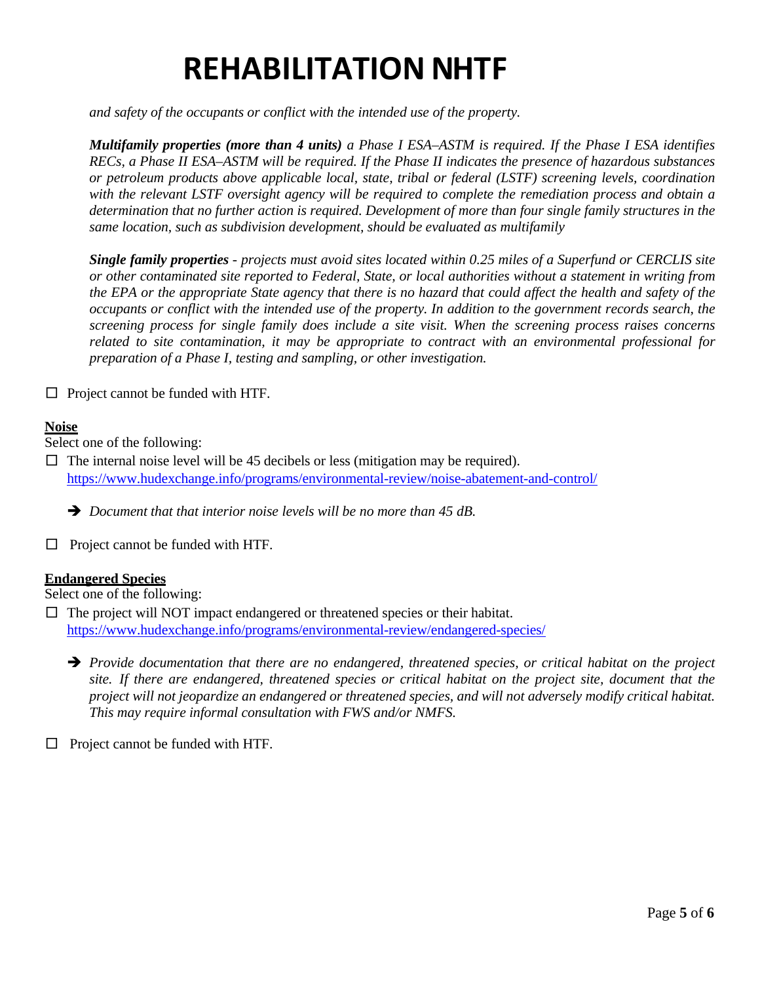*and safety of the occupants or conflict with the intended use of the property.*

**Multifamily properties (more than 4 units)** a Phase I ESA-ASTM is required. If the Phase I ESA identifies *RECs, a Phase II ESA–ASTM will be required. If the Phase II indicates the presence of hazardous substances or petroleum products above applicable local, state, tribal or federal (LSTF) screening levels, coordination with the relevant LSTF oversight agency will be required to complete the remediation process and obtain a* determination that no further action is required. Development of more than four single family structures in the *same location, such as subdivision development, should be evaluated as multifamily*

**Single family properties** - projects must avoid sites located within 0.25 miles of a Superfund or CERCLIS site *or other contaminated site reported to Federal, State, or local authorities without a statement in writing from* the EPA or the appropriate State agency that there is no hazard that could affect the health and safety of the *occupants or conflict with the intended use of the property. In addition to the government records search, the screening process for single family does include a site visit. When the screening process raises concerns related to site contamination, it may be appropriate to contract with an environmental professional for preparation of a Phase I, testing and sampling, or other investigation.*

 $\Box$  Project cannot be funded with HTF.

### **Noise**

Select one of the following:

 $\Box$  The internal noise level will be 45 decibels or less (mitigation may be required). <https://www.hudexchange.info/programs/environmental-review/noise-abatement-and-control/>

*Document that that interior noise levels will be no more than 45 dB.*

□ Project cannot be funded with HTF.

### **Endangered Species**

Select one of the following:

 $\square$  The project will NOT impact endangered or threatened species or their habitat. <https://www.hudexchange.info/programs/environmental-review/endangered-species/>

 *Provide documentation that there are no endangered, threatened species, or critical habitat on the project* site. If there are endangered, threatened species or critical habitat on the project site, document that the *project will not jeopardize an endangered or threatened species, and will not adversely modify critical habitat. This may require informal consultation with FWS and/or NMFS.*

□ Project cannot be funded with HTF.